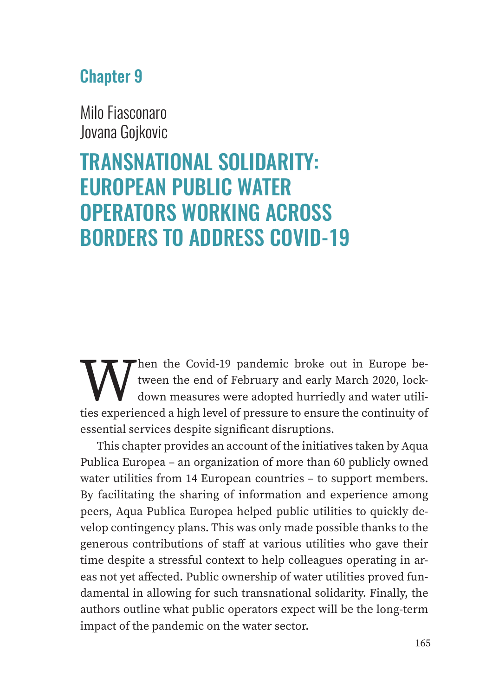# Chapter 9

Milo Fiasconaro Jovana Gojkovic

# TRANSNATIONAL SOLIDARITY: EUROPEAN PUBLIC WATER OPERATORS WORKING ACROSS BORDERS TO ADDRESS COVID-19

When the Covid-19 pandemic broke out in Europe be-<br>tween the end of February and early March 2020, lock-<br>down measures were adopted hurriedly and water utili-<br>ties experienced a high level of pressure to ensure the continu tween the end of February and early March 2020, lockdown measures were adopted hurriedly and water utilities experienced a high level of pressure to ensure the continuity of essential services despite significant disruptions.

This chapter provides an account of the initiatives taken by Aqua Publica Europea – an organization of more than 60 publicly owned water utilities from 14 European countries – to support members. By facilitating the sharing of information and experience among peers, Aqua Publica Europea helped public utilities to quickly develop contingency plans. This was only made possible thanks to the generous contributions of staff at various utilities who gave their time despite a stressful context to help colleagues operating in areas not yet affected. Public ownership of water utilities proved fundamental in allowing for such transnational solidarity. Finally, the authors outline what public operators expect will be the long-term impact of the pandemic on the water sector.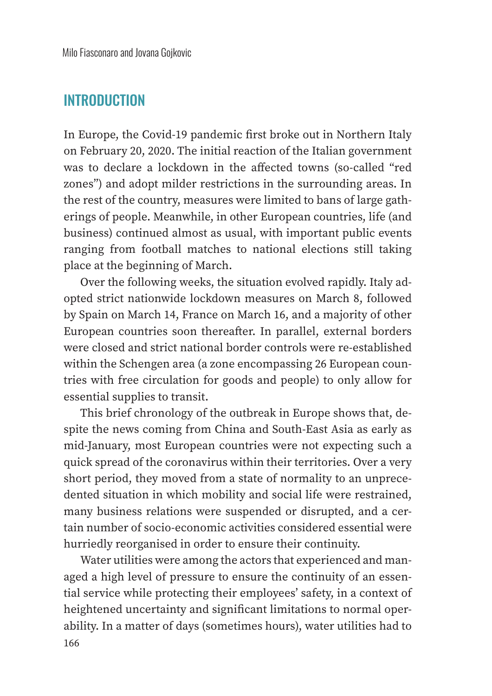#### **INTRODUCTION**

In Europe, the Covid-19 pandemic first broke out in Northern Italy on February 20, 2020. The initial reaction of the Italian government was to declare a lockdown in the affected towns (so-called "red zones") and adopt milder restrictions in the surrounding areas. In the rest of the country, measures were limited to bans of large gatherings of people. Meanwhile, in other European countries, life (and business) continued almost as usual, with important public events ranging from football matches to national elections still taking place at the beginning of March.

Over the following weeks, the situation evolved rapidly. Italy adopted strict nationwide lockdown measures on March 8, followed by Spain on March 14, France on March 16, and a majority of other European countries soon thereafter. In parallel, external borders were closed and strict national border controls were re-established within the Schengen area (a zone encompassing 26 European countries with free circulation for goods and people) to only allow for essential supplies to transit.

This brief chronology of the outbreak in Europe shows that, despite the news coming from China and South-East Asia as early as mid-January, most European countries were not expecting such a quick spread of the coronavirus within their territories. Over a very short period, they moved from a state of normality to an unprecedented situation in which mobility and social life were restrained, many business relations were suspended or disrupted, and a certain number of socio-economic activities considered essential were hurriedly reorganised in order to ensure their continuity.

166 Water utilities were among the actors that experienced and managed a high level of pressure to ensure the continuity of an essential service while protecting their employees' safety, in a context of heightened uncertainty and significant limitations to normal operability. In a matter of days (sometimes hours), water utilities had to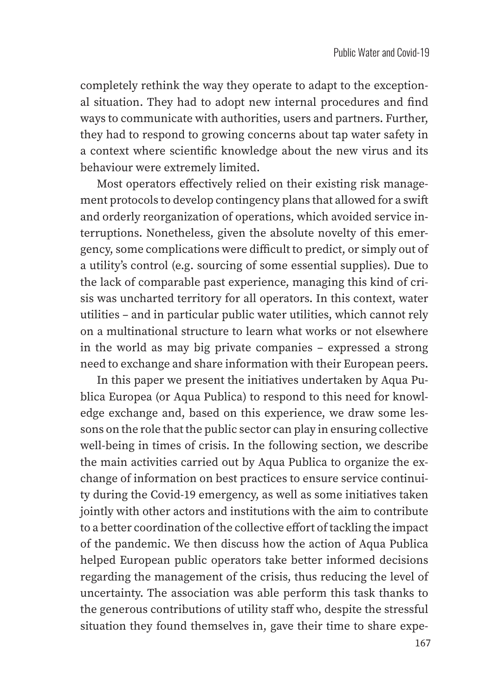completely rethink the way they operate to adapt to the exceptional situation. They had to adopt new internal procedures and find ways to communicate with authorities, users and partners. Further, they had to respond to growing concerns about tap water safety in a context where scientific knowledge about the new virus and its behaviour were extremely limited.

Most operators effectively relied on their existing risk management protocols to develop contingency plans that allowed for a swift and orderly reorganization of operations, which avoided service interruptions. Nonetheless, given the absolute novelty of this emergency, some complications were difficult to predict, or simply out of a utility's control (e.g. sourcing of some essential supplies). Due to the lack of comparable past experience, managing this kind of crisis was uncharted territory for all operators. In this context, water utilities – and in particular public water utilities, which cannot rely on a multinational structure to learn what works or not elsewhere in the world as may big private companies – expressed a strong need to exchange and share information with their European peers.

In this paper we present the initiatives undertaken by Aqua Publica Europea (or Aqua Publica) to respond to this need for knowledge exchange and, based on this experience, we draw some lessons on the role that the public sector can play in ensuring collective well-being in times of crisis. In the following section, we describe the main activities carried out by Aqua Publica to organize the exchange of information on best practices to ensure service continuity during the Covid-19 emergency, as well as some initiatives taken jointly with other actors and institutions with the aim to contribute to a better coordination of the collective effort of tackling the impact of the pandemic. We then discuss how the action of Aqua Publica helped European public operators take better informed decisions regarding the management of the crisis, thus reducing the level of uncertainty. The association was able perform this task thanks to the generous contributions of utility staff who, despite the stressful situation they found themselves in, gave their time to share expe-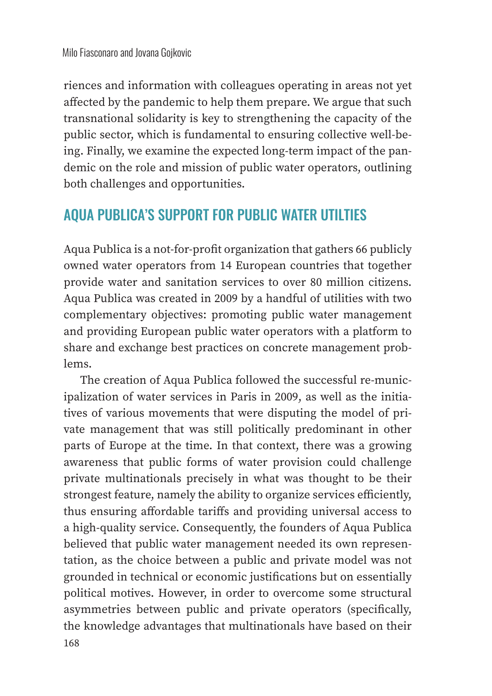riences and information with colleagues operating in areas not yet affected by the pandemic to help them prepare. We argue that such transnational solidarity is key to strengthening the capacity of the public sector, which is fundamental to ensuring collective well-being. Finally, we examine the expected long-term impact of the pandemic on the role and mission of public water operators, outlining both challenges and opportunities.

### AQUA PUBLICA'S SUPPORT FOR PUBLIC WATER UTILTIES

Aqua Publica is a not-for-profit organization that gathers 66 publicly owned water operators from 14 European countries that together provide water and sanitation services to over 80 million citizens. Aqua Publica was created in 2009 by a handful of utilities with two complementary objectives: promoting public water management and providing European public water operators with a platform to share and exchange best practices on concrete management problems.

The creation of Aqua Publica followed the successful re-municipalization of water services in Paris in 2009, as well as the initiatives of various movements that were disputing the model of private management that was still politically predominant in other parts of Europe at the time. In that context, there was a growing awareness that public forms of water provision could challenge private multinationals precisely in what was thought to be their strongest feature, namely the ability to organize services efficiently, thus ensuring affordable tariffs and providing universal access to a high-quality service. Consequently, the founders of Aqua Publica believed that public water management needed its own representation, as the choice between a public and private model was not grounded in technical or economic justifications but on essentially political motives. However, in order to overcome some structural asymmetries between public and private operators (specifically, the knowledge advantages that multinationals have based on their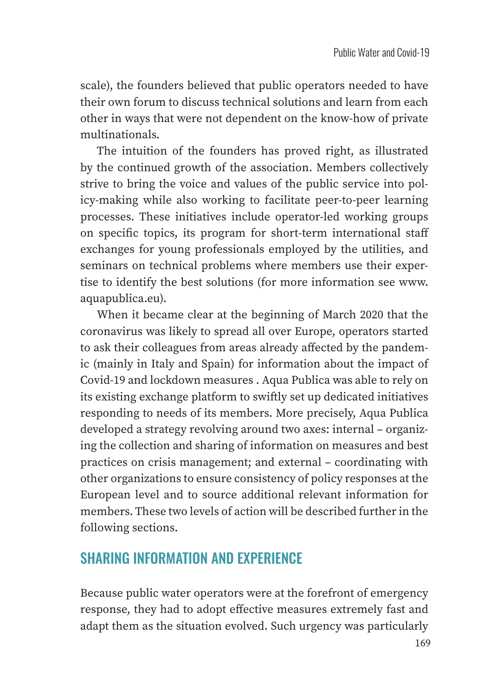scale), the founders believed that public operators needed to have their own forum to discuss technical solutions and learn from each other in ways that were not dependent on the know-how of private multinationals.

The intuition of the founders has proved right, as illustrated by the continued growth of the association. Members collectively strive to bring the voice and values of the public service into policy-making while also working to facilitate peer-to-peer learning processes. These initiatives include operator-led working groups on specific topics, its program for short-term international staff exchanges for young professionals employed by the utilities, and seminars on technical problems where members use their expertise to identify the best solutions (for more information see www. aquapublica.eu).

When it became clear at the beginning of March 2020 that the coronavirus was likely to spread all over Europe, operators started to ask their colleagues from areas already affected by the pandemic (mainly in Italy and Spain) for information about the impact of Covid-19 and lockdown measures . Aqua Publica was able to rely on its existing exchange platform to swiftly set up dedicated initiatives responding to needs of its members. More precisely, Aqua Publica developed a strategy revolving around two axes: internal – organizing the collection and sharing of information on measures and best practices on crisis management; and external – coordinating with other organizations to ensure consistency of policy responses at the European level and to source additional relevant information for members. These two levels of action will be described further in the following sections.

# SHARING INFORMATION AND EXPERIENCE

Because public water operators were at the forefront of emergency response, they had to adopt effective measures extremely fast and adapt them as the situation evolved. Such urgency was particularly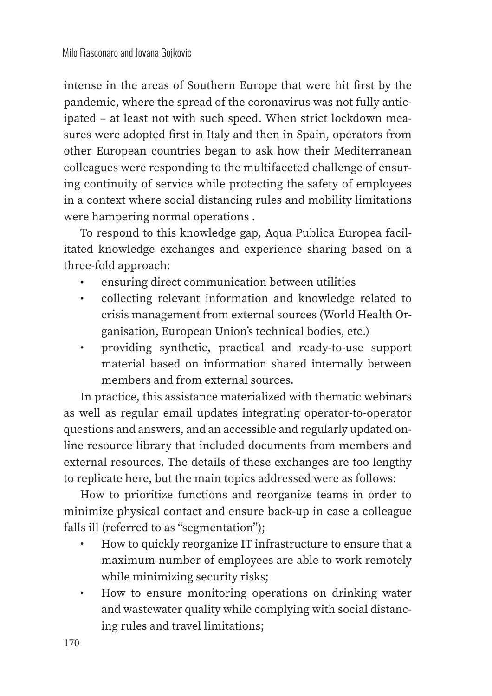intense in the areas of Southern Europe that were hit first by the pandemic, where the spread of the coronavirus was not fully anticipated – at least not with such speed. When strict lockdown measures were adopted first in Italy and then in Spain, operators from other European countries began to ask how their Mediterranean colleagues were responding to the multifaceted challenge of ensuring continuity of service while protecting the safety of employees in a context where social distancing rules and mobility limitations were hampering normal operations .

To respond to this knowledge gap, Aqua Publica Europea facilitated knowledge exchanges and experience sharing based on a three-fold approach:

- ensuring direct communication between utilities
- collecting relevant information and knowledge related to crisis management from external sources (World Health Organisation, European Union's technical bodies, etc.)
- providing synthetic, practical and ready-to-use support material based on information shared internally between members and from external sources.

In practice, this assistance materialized with thematic webinars as well as regular email updates integrating operator-to-operator questions and answers, and an accessible and regularly updated online resource library that included documents from members and external resources. The details of these exchanges are too lengthy to replicate here, but the main topics addressed were as follows:

How to prioritize functions and reorganize teams in order to minimize physical contact and ensure back-up in case a colleague falls ill (referred to as "segmentation");

- How to quickly reorganize IT infrastructure to ensure that a maximum number of employees are able to work remotely while minimizing security risks;
- How to ensure monitoring operations on drinking water and wastewater quality while complying with social distancing rules and travel limitations;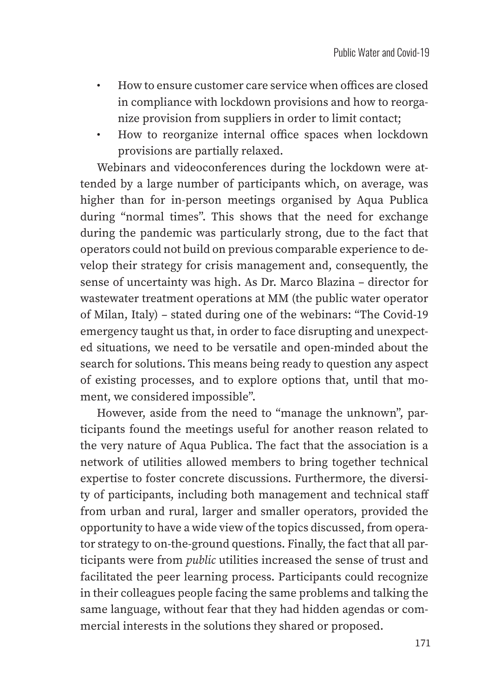- How to ensure customer care service when offices are closed in compliance with lockdown provisions and how to reorganize provision from suppliers in order to limit contact;
- How to reorganize internal office spaces when lockdown provisions are partially relaxed.

Webinars and videoconferences during the lockdown were attended by a large number of participants which, on average, was higher than for in-person meetings organised by Aqua Publica during "normal times". This shows that the need for exchange during the pandemic was particularly strong, due to the fact that operators could not build on previous comparable experience to develop their strategy for crisis management and, consequently, the sense of uncertainty was high. As Dr. Marco Blazina – director for wastewater treatment operations at MM (the public water operator of Milan, Italy) – stated during one of the webinars: "The Covid-19 emergency taught us that, in order to face disrupting and unexpected situations, we need to be versatile and open-minded about the search for solutions. This means being ready to question any aspect of existing processes, and to explore options that, until that moment, we considered impossible".

However, aside from the need to "manage the unknown", participants found the meetings useful for another reason related to the very nature of Aqua Publica. The fact that the association is a network of utilities allowed members to bring together technical expertise to foster concrete discussions. Furthermore, the diversity of participants, including both management and technical staff from urban and rural, larger and smaller operators, provided the opportunity to have a wide view of the topics discussed, from operator strategy to on-the-ground questions. Finally, the fact that all participants were from *public* utilities increased the sense of trust and facilitated the peer learning process. Participants could recognize in their colleagues people facing the same problems and talking the same language, without fear that they had hidden agendas or commercial interests in the solutions they shared or proposed.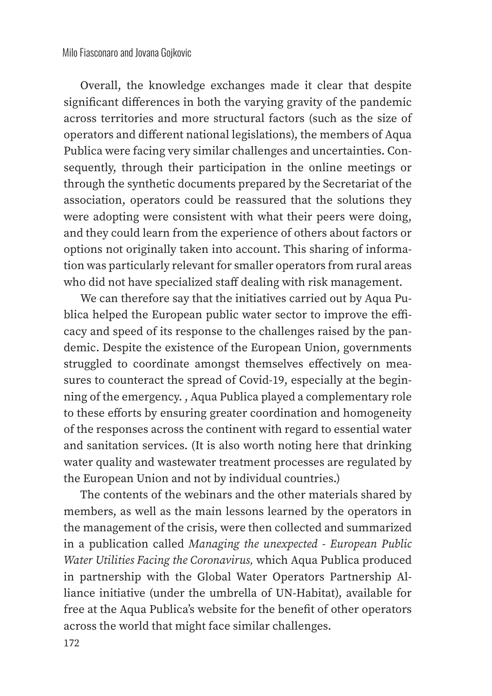Overall, the knowledge exchanges made it clear that despite significant differences in both the varying gravity of the pandemic across territories and more structural factors (such as the size of operators and different national legislations), the members of Aqua Publica were facing very similar challenges and uncertainties. Consequently, through their participation in the online meetings or through the synthetic documents prepared by the Secretariat of the association, operators could be reassured that the solutions they were adopting were consistent with what their peers were doing, and they could learn from the experience of others about factors or options not originally taken into account. This sharing of information was particularly relevant for smaller operators from rural areas who did not have specialized staff dealing with risk management.

We can therefore say that the initiatives carried out by Aqua Publica helped the European public water sector to improve the efficacy and speed of its response to the challenges raised by the pandemic. Despite the existence of the European Union, governments struggled to coordinate amongst themselves effectively on measures to counteract the spread of Covid-19, especially at the beginning of the emergency. , Aqua Publica played a complementary role to these efforts by ensuring greater coordination and homogeneity of the responses across the continent with regard to essential water and sanitation services. (It is also worth noting here that drinking water quality and wastewater treatment processes are regulated by the European Union and not by individual countries.)

The contents of the webinars and the other materials shared by members, as well as the main lessons learned by the operators in the management of the crisis, were then collected and summarized in a publication called *Managing the unexpected - European Public Water Utilities Facing the Coronavirus,* which Aqua Publica produced in partnership with the Global Water Operators Partnership Alliance initiative (under the umbrella of UN-Habitat), available for free at the Aqua Publica's website for the benefit of other operators across the world that might face similar challenges.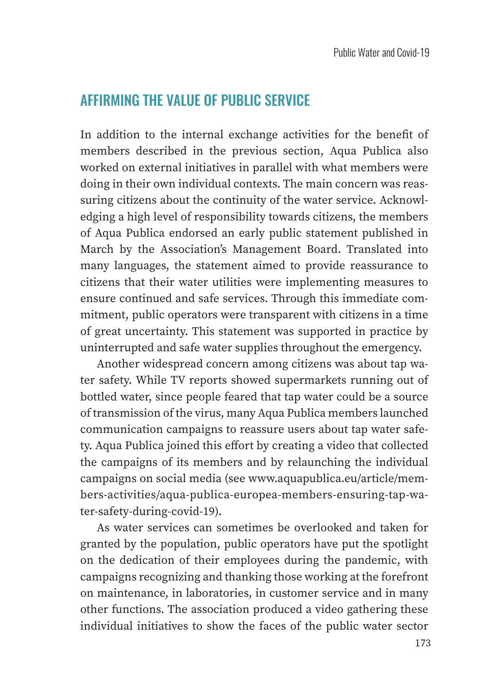#### AFFIRMING THE VALUE OF PUBLIC SERVICE

In addition to the internal exchange activities for the benefit of members described in the previous section, Aqua Publica also worked on external initiatives in parallel with what members were doing in their own individual contexts. The main concern was reassuring citizens about the continuity of the water service. Acknowledging a high level of responsibility towards citizens, the members of Aqua Publica endorsed an early public statement published in March by the Association's Management Board. Translated into many languages, the statement aimed to provide reassurance to citizens that their water utilities were implementing measures to ensure continued and safe services. Through this immediate commitment, public operators were transparent with citizens in a time of great uncertainty. This statement was supported in practice by uninterrupted and safe water supplies throughout the emergency.

Another widespread concern among citizens was about tap water safety. While TV reports showed supermarkets running out of bottled water, since people feared that tap water could be a source of transmission of the virus, many Aqua Publica members launched communication campaigns to reassure users about tap water safety. Aqua Publica joined this effort by creating a video that collected the campaigns of its members and by relaunching the individual campaigns on social media (see www.aquapublica.eu/article/members-activities/aqua-publica-europea-members-ensuring-tap-water-safety-during-covid-19).

As water services can sometimes be overlooked and taken for granted by the population, public operators have put the spotlight on the dedication of their employees during the pandemic, with campaigns recognizing and thanking those working at the forefront on maintenance, in laboratories, in customer service and in many other functions. The association produced a video gathering these individual initiatives to show the faces of the public water sector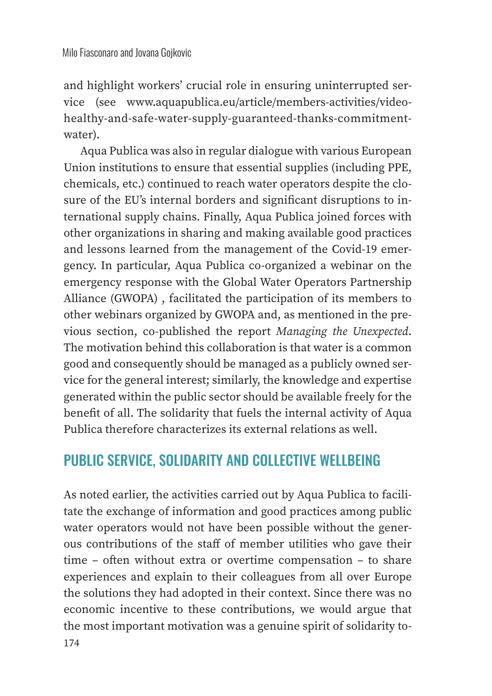and highlight workers' crucial role in ensuring uninterrupted service (see www.aquapublica.eu/article/members-activities/videohealthy-and-safe-water-supply-guaranteed-thanks-commitmentwater).

Aqua Publica was also in regular dialogue with various European Union institutions to ensure that essential supplies (including PPE, chemicals, etc.) continued to reach water operators despite the closure of the EU's internal borders and significant disruptions to international supply chains. Finally, Aqua Publica joined forces with other organizations in sharing and making available good practices and lessons learned from the management of the Covid-19 emergency. In particular, Aqua Publica co-organized a webinar on the emergency response with the Global Water Operators Partnership Alliance (GWOPA) , facilitated the participation of its members to other webinars organized by GWOPA and, as mentioned in the previous section, co-published the report *Managing the Unexpected*. The motivation behind this collaboration is that water is a common good and consequently should be managed as a publicly owned service for the general interest; similarly, the knowledge and expertise generated within the public sector should be available freely for the benefit of all. The solidarity that fuels the internal activity of Aqua Publica therefore characterizes its external relations as well.

## PUBLIC SERVICE, SOLIDARITY AND COLLECTIVE WELLBEING

As noted earlier, the activities carried out by Aqua Publica to facilitate the exchange of information and good practices among public water operators would not have been possible without the generous contributions of the staff of member utilities who gave their time – often without extra or overtime compensation – to share experiences and explain to their colleagues from all over Europe the solutions they had adopted in their context. Since there was no economic incentive to these contributions, we would argue that the most important motivation was a genuine spirit of solidarity to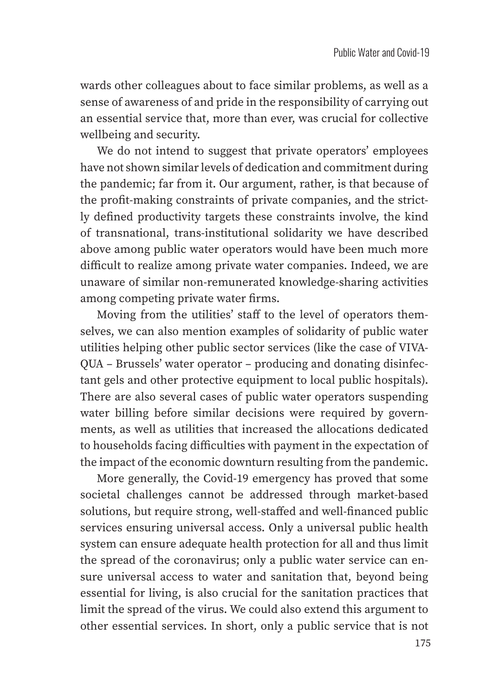wards other colleagues about to face similar problems, as well as a sense of awareness of and pride in the responsibility of carrying out an essential service that, more than ever, was crucial for collective wellbeing and security.

We do not intend to suggest that private operators' employees have not shown similar levels of dedication and commitment during the pandemic; far from it. Our argument, rather, is that because of the profit-making constraints of private companies, and the strictly defined productivity targets these constraints involve, the kind of transnational, trans-institutional solidarity we have described above among public water operators would have been much more difficult to realize among private water companies. Indeed, we are unaware of similar non-remunerated knowledge-sharing activities among competing private water firms.

Moving from the utilities' staff to the level of operators themselves, we can also mention examples of solidarity of public water utilities helping other public sector services (like the case of VIVA-QUA – Brussels' water operator – producing and donating disinfectant gels and other protective equipment to local public hospitals). There are also several cases of public water operators suspending water billing before similar decisions were required by governments, as well as utilities that increased the allocations dedicated to households facing difficulties with payment in the expectation of the impact of the economic downturn resulting from the pandemic.

More generally, the Covid-19 emergency has proved that some societal challenges cannot be addressed through market-based solutions, but require strong, well-staffed and well-financed public services ensuring universal access. Only a universal public health system can ensure adequate health protection for all and thus limit the spread of the coronavirus; only a public water service can ensure universal access to water and sanitation that, beyond being essential for living, is also crucial for the sanitation practices that limit the spread of the virus. We could also extend this argument to other essential services. In short, only a public service that is not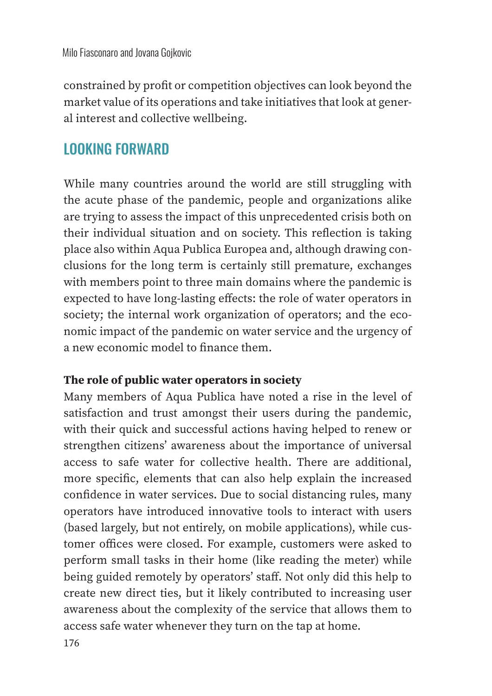constrained by profit or competition objectives can look beyond the market value of its operations and take initiatives that look at general interest and collective wellbeing.

# LOOKING FORWARD

While many countries around the world are still struggling with the acute phase of the pandemic, people and organizations alike are trying to assess the impact of this unprecedented crisis both on their individual situation and on society. This reflection is taking place also within Aqua Publica Europea and, although drawing conclusions for the long term is certainly still premature, exchanges with members point to three main domains where the pandemic is expected to have long-lasting effects: the role of water operators in society; the internal work organization of operators; and the economic impact of the pandemic on water service and the urgency of a new economic model to finance them.

#### **The role of public water operators in society**

Many members of Aqua Publica have noted a rise in the level of satisfaction and trust amongst their users during the pandemic, with their quick and successful actions having helped to renew or strengthen citizens' awareness about the importance of universal access to safe water for collective health. There are additional, more specific, elements that can also help explain the increased confidence in water services. Due to social distancing rules, many operators have introduced innovative tools to interact with users (based largely, but not entirely, on mobile applications), while customer offices were closed. For example, customers were asked to perform small tasks in their home (like reading the meter) while being guided remotely by operators' staff. Not only did this help to create new direct ties, but it likely contributed to increasing user awareness about the complexity of the service that allows them to access safe water whenever they turn on the tap at home.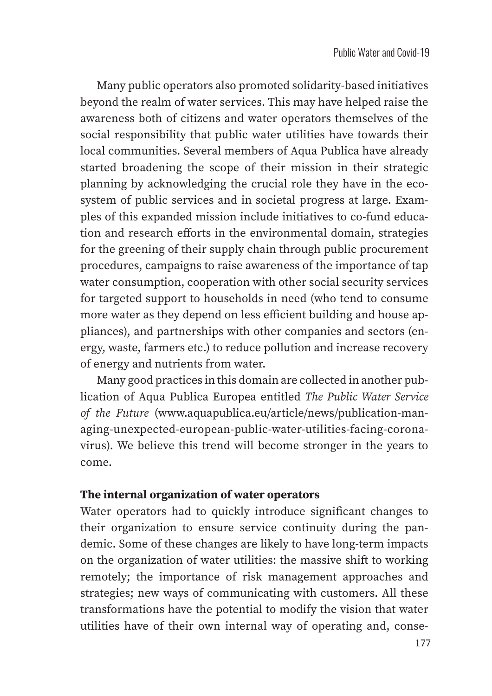Many public operators also promoted solidarity-based initiatives beyond the realm of water services. This may have helped raise the awareness both of citizens and water operators themselves of the social responsibility that public water utilities have towards their local communities. Several members of Aqua Publica have already started broadening the scope of their mission in their strategic planning by acknowledging the crucial role they have in the ecosystem of public services and in societal progress at large. Examples of this expanded mission include initiatives to co-fund education and research efforts in the environmental domain, strategies for the greening of their supply chain through public procurement procedures, campaigns to raise awareness of the importance of tap water consumption, cooperation with other social security services for targeted support to households in need (who tend to consume more water as they depend on less efficient building and house appliances), and partnerships with other companies and sectors (energy, waste, farmers etc.) to reduce pollution and increase recovery of energy and nutrients from water.

Many good practices in this domain are collected in another publication of Aqua Publica Europea entitled *The Public Water Service of the Future* (www.aquapublica.eu/article/news/publication-managing-unexpected-european-public-water-utilities-facing-coronavirus). We believe this trend will become stronger in the years to come.

#### **The internal organization of water operators**

Water operators had to quickly introduce significant changes to their organization to ensure service continuity during the pandemic. Some of these changes are likely to have long-term impacts on the organization of water utilities: the massive shift to working remotely; the importance of risk management approaches and strategies; new ways of communicating with customers. All these transformations have the potential to modify the vision that water utilities have of their own internal way of operating and, conse-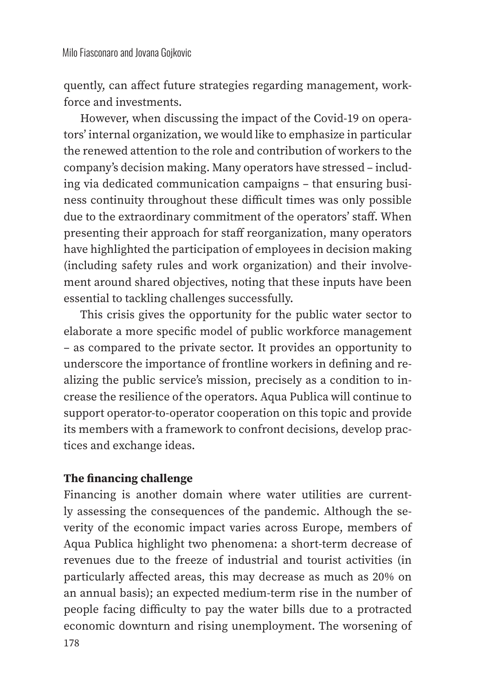quently, can affect future strategies regarding management, workforce and investments.

However, when discussing the impact of the Covid-19 on operators' internal organization, we would like to emphasize in particular the renewed attention to the role and contribution of workers to the company's decision making. Many operators have stressed – including via dedicated communication campaigns – that ensuring business continuity throughout these difficult times was only possible due to the extraordinary commitment of the operators' staff. When presenting their approach for staff reorganization, many operators have highlighted the participation of employees in decision making (including safety rules and work organization) and their involvement around shared objectives, noting that these inputs have been essential to tackling challenges successfully.

This crisis gives the opportunity for the public water sector to elaborate a more specific model of public workforce management – as compared to the private sector. It provides an opportunity to underscore the importance of frontline workers in defining and realizing the public service's mission, precisely as a condition to increase the resilience of the operators. Aqua Publica will continue to support operator-to-operator cooperation on this topic and provide its members with a framework to confront decisions, develop practices and exchange ideas.

#### **The financing challenge**

Financing is another domain where water utilities are currently assessing the consequences of the pandemic. Although the severity of the economic impact varies across Europe, members of Aqua Publica highlight two phenomena: a short-term decrease of revenues due to the freeze of industrial and tourist activities (in particularly affected areas, this may decrease as much as 20% on an annual basis); an expected medium-term rise in the number of people facing difficulty to pay the water bills due to a protracted economic downturn and rising unemployment. The worsening of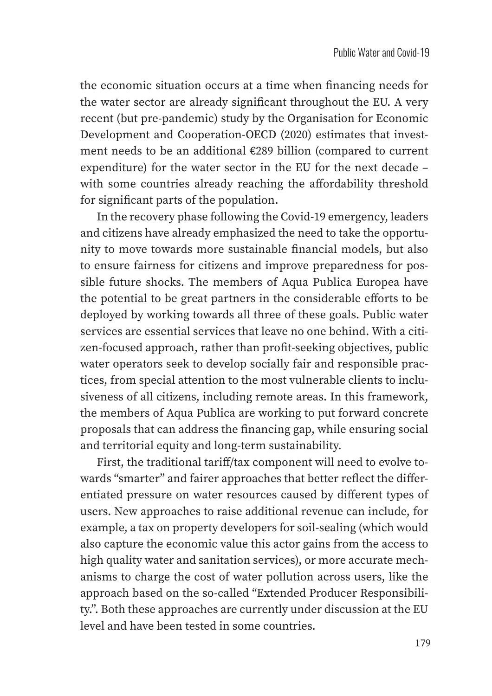the economic situation occurs at a time when financing needs for the water sector are already significant throughout the EU. A very recent (but pre-pandemic) study by the Organisation for Economic Development and Cooperation-OECD (2020) estimates that investment needs to be an additional €289 billion (compared to current expenditure) for the water sector in the EU for the next decade – with some countries already reaching the affordability threshold for significant parts of the population.

In the recovery phase following the Covid-19 emergency, leaders and citizens have already emphasized the need to take the opportunity to move towards more sustainable financial models, but also to ensure fairness for citizens and improve preparedness for possible future shocks. The members of Aqua Publica Europea have the potential to be great partners in the considerable efforts to be deployed by working towards all three of these goals. Public water services are essential services that leave no one behind. With a citizen-focused approach, rather than profit-seeking objectives, public water operators seek to develop socially fair and responsible practices, from special attention to the most vulnerable clients to inclusiveness of all citizens, including remote areas. In this framework, the members of Aqua Publica are working to put forward concrete proposals that can address the financing gap, while ensuring social and territorial equity and long-term sustainability.

First, the traditional tariff/tax component will need to evolve towards "smarter" and fairer approaches that better reflect the differentiated pressure on water resources caused by different types of users. New approaches to raise additional revenue can include, for example, a tax on property developers for soil-sealing (which would also capture the economic value this actor gains from the access to high quality water and sanitation services), or more accurate mechanisms to charge the cost of water pollution across users, like the approach based on the so-called "Extended Producer Responsibility.". Both these approaches are currently under discussion at the EU level and have been tested in some countries.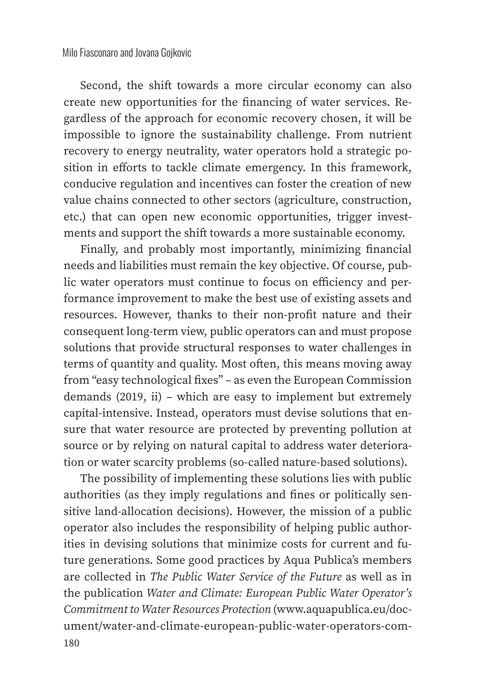Second, the shift towards a more circular economy can also create new opportunities for the financing of water services. Regardless of the approach for economic recovery chosen, it will be impossible to ignore the sustainability challenge. From nutrient recovery to energy neutrality, water operators hold a strategic position in efforts to tackle climate emergency. In this framework, conducive regulation and incentives can foster the creation of new value chains connected to other sectors (agriculture, construction, etc.) that can open new economic opportunities, trigger investments and support the shift towards a more sustainable economy.

Finally, and probably most importantly, minimizing financial needs and liabilities must remain the key objective. Of course, public water operators must continue to focus on efficiency and performance improvement to make the best use of existing assets and resources. However, thanks to their non-profit nature and their consequent long-term view, public operators can and must propose solutions that provide structural responses to water challenges in terms of quantity and quality. Most often, this means moving away from "easy technological fixes" – as even the European Commission demands (2019, ii) – which are easy to implement but extremely capital-intensive. Instead, operators must devise solutions that ensure that water resource are protected by preventing pollution at source or by relying on natural capital to address water deterioration or water scarcity problems (so-called nature-based solutions).

180 The possibility of implementing these solutions lies with public authorities (as they imply regulations and fines or politically sensitive land-allocation decisions). However, the mission of a public operator also includes the responsibility of helping public authorities in devising solutions that minimize costs for current and future generations. Some good practices by Aqua Publica's members are collected in *The Public Water Service of the Future* as well as in the publication *Water and Climate: European Public Water Operator's Commitment to Water Resources Protection* (www.aquapublica.eu/document/water-and-climate-european-public-water-operators-com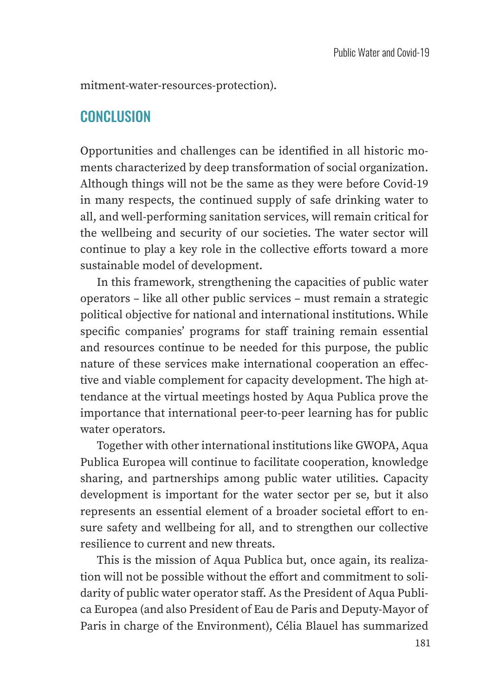mitment-water-resources-protection).

### **CONCLUSION**

Opportunities and challenges can be identified in all historic moments characterized by deep transformation of social organization. Although things will not be the same as they were before Covid-19 in many respects, the continued supply of safe drinking water to all, and well-performing sanitation services, will remain critical for the wellbeing and security of our societies. The water sector will continue to play a key role in the collective efforts toward a more sustainable model of development.

In this framework, strengthening the capacities of public water operators – like all other public services – must remain a strategic political objective for national and international institutions. While specific companies' programs for staff training remain essential and resources continue to be needed for this purpose, the public nature of these services make international cooperation an effective and viable complement for capacity development. The high attendance at the virtual meetings hosted by Aqua Publica prove the importance that international peer-to-peer learning has for public water operators.

Together with other international institutions like GWOPA, Aqua Publica Europea will continue to facilitate cooperation, knowledge sharing, and partnerships among public water utilities. Capacity development is important for the water sector per se, but it also represents an essential element of a broader societal effort to ensure safety and wellbeing for all, and to strengthen our collective resilience to current and new threats.

This is the mission of Aqua Publica but, once again, its realization will not be possible without the effort and commitment to solidarity of public water operator staff. As the President of Aqua Publica Europea (and also President of Eau de Paris and Deputy-Mayor of Paris in charge of the Environment), Célia Blauel has summarized